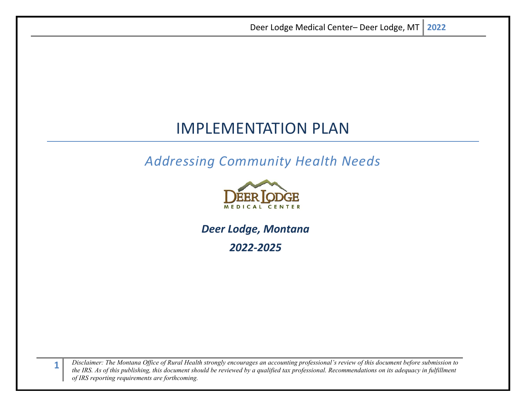# IMPLEMENTATION PLAN

*Addressing Community Health Needs*



*Deer Lodge, Montana 2022-2025*

**1** *Disclaimer: The Montana Office of Rural Health strongly encourages an accounting professional's review of this document before submission to the IRS. As of this publishing, this document should be reviewed by a qualified tax professional. Recommendations on its adequacy in fulfillment of IRS reporting requirements are forthcoming.*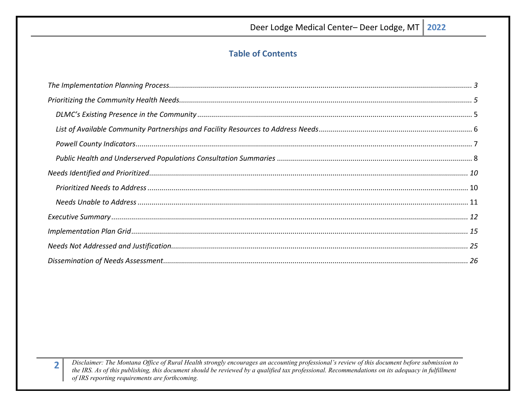# **Table of Contents**

Disclaimer: The Montana Office of Rural Health strongly encourages an accounting professional's review of this document before submission to the IRS. As of this publishing, this document should be reviewed by a qualified tax professional. Recommendations on its adequacy in fulfillment of IRS reporting requirements are forthcoming.

 $\overline{\mathbf{2}}$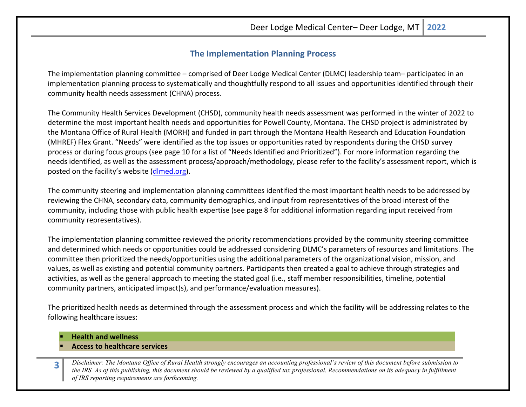## **The Implementation Planning Process**

<span id="page-2-0"></span>The implementation planning committee – comprised of Deer Lodge Medical Center (DLMC) leadership team– participated in an implementation planning process to systematically and thoughtfully respond to all issues and opportunities identified through their community health needs assessment (CHNA) process.

The Community Health Services Development (CHSD), community health needs assessment was performed in the winter of 2022 to determine the most important health needs and opportunities for Powell County, Montana. The CHSD project is administrated by the Montana Office of Rural Health (MORH) and funded in part through the Montana Health Research and Education Foundation (MHREF) Flex Grant. "Needs" were identified as the top issues or opportunities rated by respondents during the CHSD survey process or during focus groups (see page 10 for a list of "Needs Identified and Prioritized"). For more information regarding the needs identified, as well as the assessment process/approach/methodology, please refer to the facility's assessment report, which is posted on the facility's website [\(dlmed.org\)](https://www.dlmed.org/).

The community steering and implementation planning committees identified the most important health needs to be addressed by reviewing the CHNA, secondary data, community demographics, and input from representatives of the broad interest of the community, including those with public health expertise (see page 8 for additional information regarding input received from community representatives).

The implementation planning committee reviewed the priority recommendations provided by the community steering committee and determined which needs or opportunities could be addressed considering DLMC's parameters of resources and limitations. The committee then prioritized the needs/opportunities using the additional parameters of the organizational vision, mission, and values, as well as existing and potential community partners. Participants then created a goal to achieve through strategies and activities, as well as the general approach to meeting the stated goal (i.e., staff member responsibilities, timeline, potential community partners, anticipated impact(s), and performance/evaluation measures).

The prioritized health needs as determined through the assessment process and which the facility will be addressing relates to the following healthcare issues:

**Health and wellness**

#### **Access to healthcare services**

**3** *Disclaimer: The Montana Office of Rural Health strongly encourages an accounting professional's review of this document before submission to the IRS. As of this publishing, this document should be reviewed by a qualified tax professional. Recommendations on its adequacy in fulfillment of IRS reporting requirements are forthcoming.*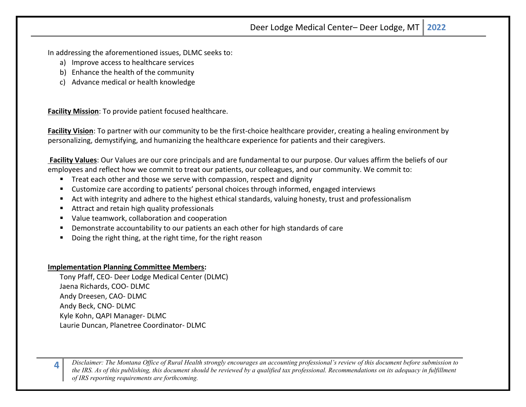In addressing the aforementioned issues, DLMC seeks to:

- a) Improve access to healthcare services
- b) Enhance the health of the community
- c) Advance medical or health knowledge

**Facility Mission**: To provide patient focused healthcare.

**Facility Vision**: To partner with our community to be the first-choice healthcare provider, creating a healing environment by personalizing, demystifying, and humanizing the healthcare experience for patients and their caregivers.

**Facility Values**: Our Values are our core principals and are fundamental to our purpose. Our values affirm the beliefs of our employees and reflect how we commit to treat our patients, our colleagues, and our community. We commit to:

- Treat each other and those we serve with compassion, respect and dignity
- Customize care according to patients' personal choices through informed, engaged interviews
- Act with integrity and adhere to the highest ethical standards, valuing honesty, trust and professionalism
- Attract and retain high quality professionals
- Value teamwork, collaboration and cooperation
- Demonstrate accountability to our patients an each other for high standards of care
- Doing the right thing, at the right time, for the right reason

#### **Implementation Planning Committee Members:**

Tony Pfaff, CEO- Deer Lodge Medical Center (DLMC) Jaena Richards, COO- DLMC Andy Dreesen, CAO- DLMC Andy Beck, CNO- DLMC Kyle Kohn, QAPI Manager- DLMC Laurie Duncan, Planetree Coordinator- DLMC

**4** *Disclaimer: The Montana Office of Rural Health strongly encourages an accounting professional's review of this document before submission to the IRS. As of this publishing, this document should be reviewed by a qualified tax professional. Recommendations on its adequacy in fulfillment of IRS reporting requirements are forthcoming.*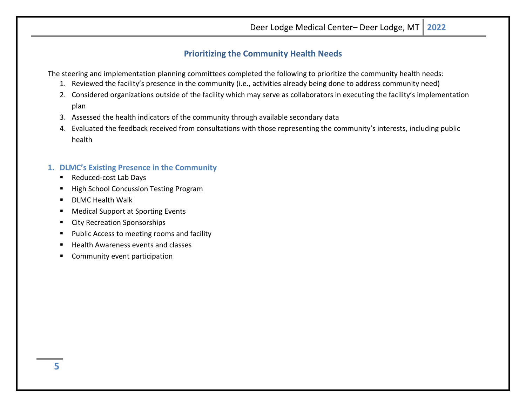# **Prioritizing the Community Health Needs**

<span id="page-4-0"></span>The steering and implementation planning committees completed the following to prioritize the community health needs:

- 1. Reviewed the facility's presence in the community (i.e., activities already being done to address community need)
- 2. Considered organizations outside of the facility which may serve as collaborators in executing the facility's implementation plan
- 3. Assessed the health indicators of the community through available secondary data
- 4. Evaluated the feedback received from consultations with those representing the community's interests, including public health

# <span id="page-4-1"></span>**1. DLMC's Existing Presence in the Community**

- Reduced-cost Lab Days
- High School Concussion Testing Program
- **DLMC** Health Walk
- **Medical Support at Sporting Events**
- **EXECT:** City Recreation Sponsorships
- **Public Access to meeting rooms and facility**
- Health Awareness events and classes
- Community event participation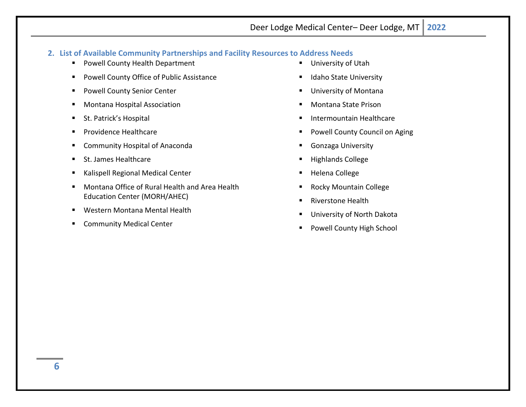## <span id="page-5-0"></span>**2. List of Available Community Partnerships and Facility Resources to Address Needs**

- **Powell County Health Department**
- **Powell County Office of Public Assistance**
- **Powell County Senior Center**
- **Montana Hospital Association**
- **St. Patrick's Hospital**
- **Providence Healthcare**
- **E** Community Hospital of Anaconda
- St. James Healthcare
- **Kalispell Regional Medical Center**
- Montana Office of Rural Health and Area Health Education Center (MORH/AHEC)
- **Western Montana Mental Health**
- **EXECOMMUNITY Medical Center**
- **University of Utah**
- **In Idaho State University**
- University of Montana
- Montana State Prison
- Intermountain Healthcare
- Powell County Council on Aging
- Gonzaga University
- Highlands College
- Helena College
- Rocky Mountain College
- **Riverstone Health**
- University of North Dakota
- Powell County High School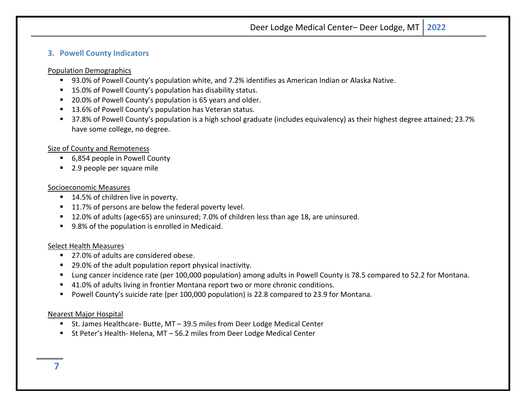## <span id="page-6-0"></span>**3. Powell County Indicators**

#### Population Demographics

- 93.0% of Powell County's population white, and 7.2% identifies as American Indian or Alaska Native.
- 15.0% of Powell County's population has disability status.
- 20.0% of Powell County's population is 65 years and older.
- 13.6% of Powell County's population has Veteran status.
- 37.8% of Powell County's population is a high school graduate (includes equivalency) as their highest degree attained; 23.7% have some college, no degree.

## Size of County and Remoteness

- 6,854 people in Powell County
- 2.9 people per square mile

#### Socioeconomic Measures

- 14.5% of children live in poverty.
- 11.7% of persons are below the federal poverty level.
- 12.0% of adults (age<65) are uninsured; 7.0% of children less than age 18, are uninsured.
- 9.8% of the population is enrolled in Medicaid.

## Select Health Measures

- 27.0% of adults are considered obese.
- 29.0% of the adult population report physical inactivity.
- Lung cancer incidence rate (per 100,000 population) among adults in Powell County is 78.5 compared to 52.2 for Montana.
- 41.0% of adults living in frontier Montana report two or more chronic conditions.
- Powell County's suicide rate (per 100,000 population) is 22.8 compared to 23.9 for Montana.

## Nearest Major Hospital

- St. James Healthcare- Butte, MT 39.5 miles from Deer Lodge Medical Center
- St Peter's Health- Helena, MT 56.2 miles from Deer Lodge Medical Center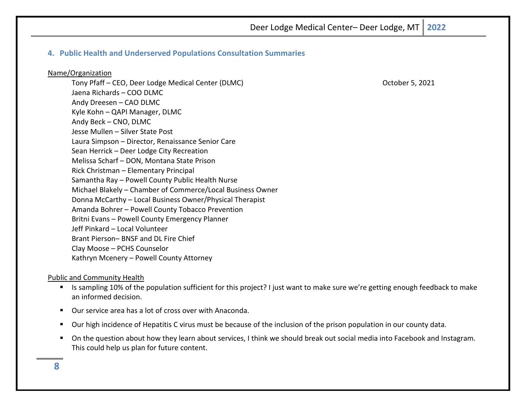## <span id="page-7-0"></span>**4. Public Health and Underserved Populations Consultation Summaries**

#### Name/Organization

Tony Pfaff – CEO, Deer Lodge Medical Center (DLMC) Notified the Case of Case of Case of Case of Case of Case of C Jaena Richards – COO DLMC Andy Dreesen – CAO DLMC Kyle Kohn – QAPI Manager, DLMC Andy Beck – CNO, DLMC Jesse Mullen – Silver State Post Laura Simpson – Director, Renaissance Senior Care Sean Herrick – Deer Lodge City Recreation Melissa Scharf – DON, Montana State Prison Rick Christman – Elementary Principal Samantha Ray – Powell County Public Health Nurse Michael Blakely – Chamber of Commerce/Local Business Owner Donna McCarthy – Local Business Owner/Physical Therapist Amanda Bohrer – Powell County Tobacco Prevention Britni Evans – Powell County Emergency Planner Jeff Pinkard – Local Volunteer Brant Pierson– BNSF and DL Fire Chief Clay Moose – PCHS Counselor Kathryn Mcenery – Powell County Attorney

#### Public and Community Health

- Is sampling 10% of the population sufficient for this project? I just want to make sure we're getting enough feedback to make an informed decision.
- Our service area has a lot of cross over with Anaconda.
- Our high incidence of Hepatitis C virus must be because of the inclusion of the prison population in our county data.
- On the question about how they learn about services, I think we should break out social media into Facebook and Instagram. This could help us plan for future content.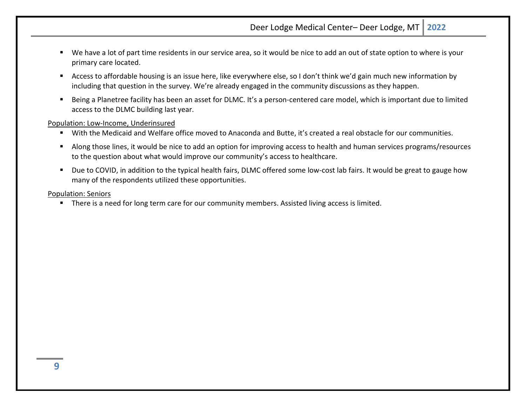- We have a lot of part time residents in our service area, so it would be nice to add an out of state option to where is your primary care located.
- Access to affordable housing is an issue here, like everywhere else, so I don't think we'd gain much new information by including that question in the survey. We're already engaged in the community discussions as they happen.
- Being a Planetree facility has been an asset for DLMC. It's a person-centered care model, which is important due to limited access to the DLMC building last year.

Population: Low-Income, Underinsured

- With the Medicaid and Welfare office moved to Anaconda and Butte, it's created a real obstacle for our communities.
- Along those lines, it would be nice to add an option for improving access to health and human services programs/resources to the question about what would improve our community's access to healthcare.
- Due to COVID, in addition to the typical health fairs, DLMC offered some low-cost lab fairs. It would be great to gauge how many of the respondents utilized these opportunities.

#### Population: Seniors

There is a need for long term care for our community members. Assisted living access is limited.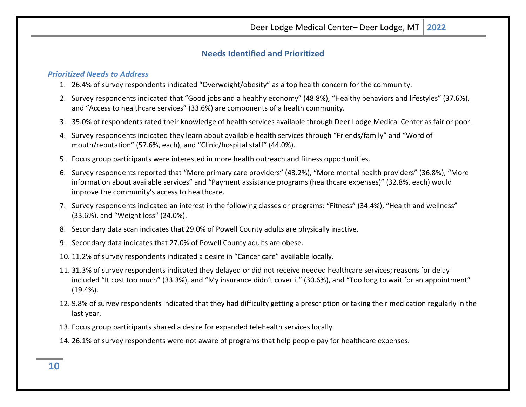# **Needs Identified and Prioritized**

## <span id="page-9-1"></span><span id="page-9-0"></span>*Prioritized Needs to Address*

- 1. 26.4% of survey respondents indicated "Overweight/obesity" as a top health concern for the community.
- 2. Survey respondents indicated that "Good jobs and a healthy economy" (48.8%), "Healthy behaviors and lifestyles" (37.6%), and "Access to healthcare services" (33.6%) are components of a health community.
- 3. 35.0% of respondents rated their knowledge of health services available through Deer Lodge Medical Center as fair or poor.
- 4. Survey respondents indicated they learn about available health services through "Friends/family" and "Word of mouth/reputation" (57.6%, each), and "Clinic/hospital staff" (44.0%).
- 5. Focus group participants were interested in more health outreach and fitness opportunities.
- 6. Survey respondents reported that "More primary care providers" (43.2%), "More mental health providers" (36.8%), "More information about available services" and "Payment assistance programs (healthcare expenses)" (32.8%, each) would improve the community's access to healthcare.
- 7. Survey respondents indicated an interest in the following classes or programs: "Fitness" (34.4%), "Health and wellness" (33.6%), and "Weight loss" (24.0%).
- 8. Secondary data scan indicates that 29.0% of Powell County adults are physically inactive.
- 9. Secondary data indicates that 27.0% of Powell County adults are obese.
- 10. 11.2% of survey respondents indicated a desire in "Cancer care" available locally.
- 11. 31.3% of survey respondents indicated they delayed or did not receive needed healthcare services; reasons for delay included "It cost too much" (33.3%), and "My insurance didn't cover it" (30.6%), and "Too long to wait for an appointment" (19.4%).
- 12. 9.8% of survey respondents indicated that they had difficulty getting a prescription or taking their medication regularly in the last year.
- 13. Focus group participants shared a desire for expanded telehealth services locally.
- 14. 26.1% of survey respondents were not aware of programs that help people pay for healthcare expenses.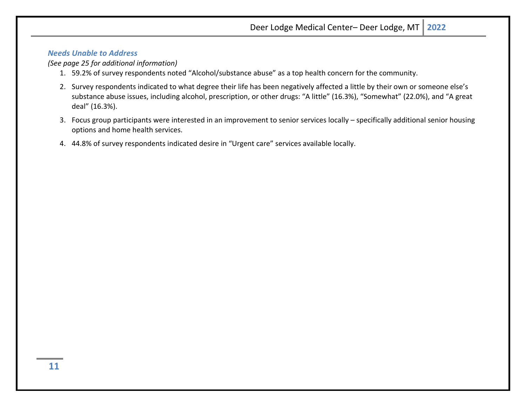## <span id="page-10-0"></span>*Needs Unable to Address*

## *(See page 25 for additional information)*

- 1. 59.2% of survey respondents noted "Alcohol/substance abuse" as a top health concern for the community.
- 2. Survey respondents indicated to what degree their life has been negatively affected a little by their own or someone else's substance abuse issues, including alcohol, prescription, or other drugs: "A little" (16.3%), "Somewhat" (22.0%), and "A great deal" (16.3%).
- 3. Focus group participants were interested in an improvement to senior services locally specifically additional senior housing options and home health services.
- 4. 44.8% of survey respondents indicated desire in "Urgent care" services available locally.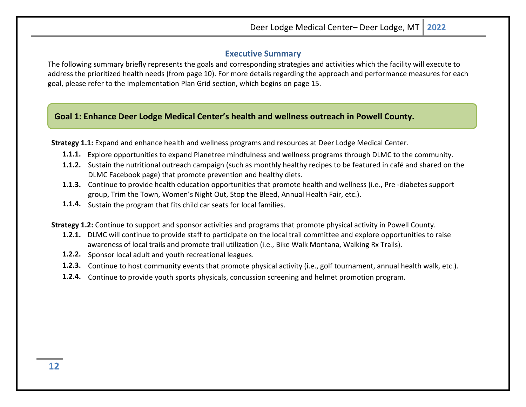## **Executive Summary**

<span id="page-11-0"></span>The following summary briefly represents the goals and corresponding strategies and activities which the facility will execute to address the prioritized health needs (from page 10). For more details regarding the approach and performance measures for each goal, please refer to the Implementation Plan Grid section, which begins on page 15.

# **Goal 1: Enhance Deer Lodge Medical Center's health and wellness outreach in Powell County.**

**Strategy 1.1:** Expand and enhance health and wellness programs and resources at Deer Lodge Medical Center.

- **1.1.1.** Explore opportunities to expand Planetree mindfulness and wellness programs through DLMC to the community.
- **1.1.2.** Sustain the nutritional outreach campaign (such as monthly healthy recipes to be featured in café and shared on the DLMC Facebook page) that promote prevention and healthy diets.
- **1.1.3.** Continue to provide health education opportunities that promote health and wellness (i.e., Pre -diabetes support group, Trim the Town, Women's Night Out, Stop the Bleed, Annual Health Fair, etc.).
- **1.1.4.** Sustain the program that fits child car seats for local families.

**Strategy 1.2:** Continue to support and sponsor activities and programs that promote physical activity in Powell County.

- **1.2.1.** DLMC will continue to provide staff to participate on the local trail committee and explore opportunities to raise awareness of local trails and promote trail utilization (i.e., Bike Walk Montana, Walking Rx Trails).
- **1.2.2.** Sponsor local adult and youth recreational leagues.
- **1.2.3.** Continue to host community events that promote physical activity (i.e., golf tournament, annual health walk, etc.).
- **1.2.4.** Continue to provide youth sports physicals, concussion screening and helmet promotion program.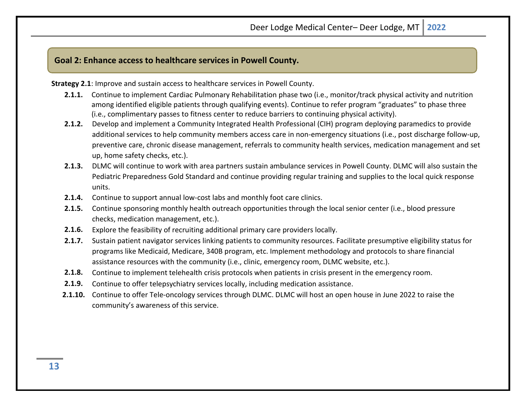## **Goal 2: Enhance access to healthcare services in Powell County.**

**Strategy 2.1**: Improve and sustain access to healthcare services in Powell County.

- **2.1.1.** Continue to implement Cardiac Pulmonary Rehabilitation phase two (i.e., monitor/track physical activity and nutrition among identified eligible patients through qualifying events). Continue to refer program "graduates" to phase three (i.e., complimentary passes to fitness center to reduce barriers to continuing physical activity).
- **2.1.2.** Develop and implement a Community Integrated Health Professional (CIH) program deploying paramedics to provide additional services to help community members access care in non-emergency situations (i.e., post discharge follow-up, preventive care, chronic disease management, referrals to community health services, medication management and set up, home safety checks, etc.).
- **2.1.3.** DLMC will continue to work with area partners sustain ambulance services in Powell County. DLMC will also sustain the Pediatric Preparedness Gold Standard and continue providing regular training and supplies to the local quick response units.
- **2.1.4.** Continue to support annual low-cost labs and monthly foot care clinics.
- **2.1.5.** Continue sponsoring monthly health outreach opportunities through the local senior center (i.e., blood pressure checks, medication management, etc.).
- **2.1.6.** Explore the feasibility of recruiting additional primary care providers locally.
- **2.1.7.** Sustain patient navigator services linking patients to community resources. Facilitate presumptive eligibility status for programs like Medicaid, Medicare, 340B program, etc. Implement methodology and protocols to share financial assistance resources with the community (i.e., clinic, emergency room, DLMC website, etc.).
- **2.1.8.** Continue to implement telehealth crisis protocols when patients in crisis present in the emergency room.
- **2.1.9.** Continue to offer telepsychiatry services locally, including medication assistance.
- **2.1.10.** Continue to offer Tele-oncology services through DLMC. DLMC will host an open house in June 2022 to raise the community's awareness of this service.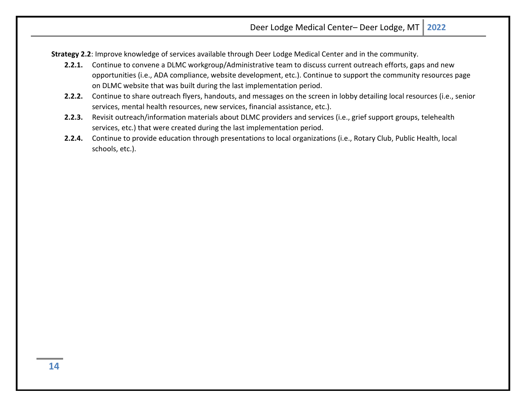**Strategy 2.2**: Improve knowledge of services available through Deer Lodge Medical Center and in the community.

- **2.2.1.** Continue to convene a DLMC workgroup/Administrative team to discuss current outreach efforts, gaps and new opportunities (i.e., ADA compliance, website development, etc.). Continue to support the community resources page on DLMC website that was built during the last implementation period.
- **2.2.2.** Continue to share outreach flyers, handouts, and messages on the screen in lobby detailing local resources (i.e., senior services, mental health resources, new services, financial assistance, etc.).
- **2.2.3.** Revisit outreach/information materials about DLMC providers and services (i.e., grief support groups, telehealth services, etc.) that were created during the last implementation period.
- **2.2.4.** Continue to provide education through presentations to local organizations (i.e., Rotary Club, Public Health, local schools, etc.).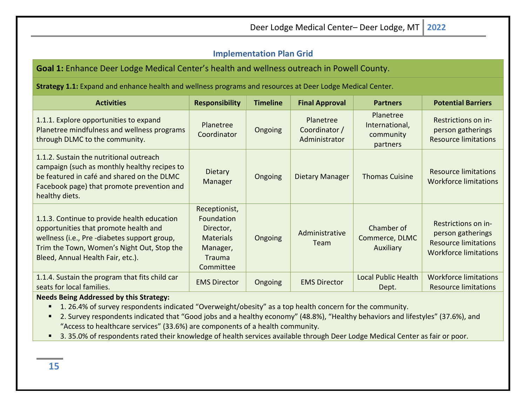# <span id="page-14-0"></span>**Implementation Plan Grid**

# **Goal 1:** Enhance Deer Lodge Medical Center's health and wellness outreach in Powell County.

**Strategy 1.1:** Expand and enhance health and wellness programs and resources at Deer Lodge Medical Center.

| <b>Activities</b>                                                                                                                                                                                                      | <b>Responsibility</b>                                                                                  | <b>Timeline</b> | <b>Final Approval</b>                       | <b>Partners</b>                                      | <b>Potential Barriers</b>                                                                               |
|------------------------------------------------------------------------------------------------------------------------------------------------------------------------------------------------------------------------|--------------------------------------------------------------------------------------------------------|-----------------|---------------------------------------------|------------------------------------------------------|---------------------------------------------------------------------------------------------------------|
| 1.1.1. Explore opportunities to expand<br>Planetree mindfulness and wellness programs<br>through DLMC to the community.                                                                                                | Planetree<br>Coordinator                                                                               | Ongoing         | Planetree<br>Coordinator /<br>Administrator | Planetree<br>International,<br>community<br>partners | Restrictions on in-<br>person gatherings<br><b>Resource limitations</b>                                 |
| 1.1.2. Sustain the nutritional outreach<br>campaign (such as monthly healthy recipes to<br>be featured in café and shared on the DLMC<br>Facebook page) that promote prevention and<br>healthy diets.                  | <b>Dietary</b><br>Manager                                                                              | Ongoing         | Dietary Manager                             | <b>Thomas Cuisine</b>                                | <b>Resource limitations</b><br><b>Workforce limitations</b>                                             |
| 1.1.3. Continue to provide health education<br>opportunities that promote health and<br>wellness (i.e., Pre-diabetes support group,<br>Trim the Town, Women's Night Out, Stop the<br>Bleed, Annual Health Fair, etc.). | Receptionist,<br>Foundation<br>Director,<br><b>Materials</b><br>Manager,<br><b>Trauma</b><br>Committee | Ongoing         | Administrative<br>Team                      | Chamber of<br>Commerce, DLMC<br>Auxiliary            | Restrictions on in-<br>person gatherings<br><b>Resource limitations</b><br><b>Workforce limitations</b> |
| 1.1.4. Sustain the program that fits child car<br>seats for local families.                                                                                                                                            | <b>EMS Director</b>                                                                                    | Ongoing         | <b>EMS Director</b>                         | <b>Local Public Health</b><br>Dept.                  | <b>Workforce limitations</b><br><b>Resource limitations</b>                                             |

## **Needs Being Addressed by this Strategy:**

- 1.26.4% of survey respondents indicated "Overweight/obesity" as a top health concern for the community.
- 2. Survey respondents indicated that "Good jobs and a healthy economy" (48.8%), "Healthy behaviors and lifestyles" (37.6%), and "Access to healthcare services" (33.6%) are components of a health community.
- 3. 35.0% of respondents rated their knowledge of health services available through Deer Lodge Medical Center as fair or poor.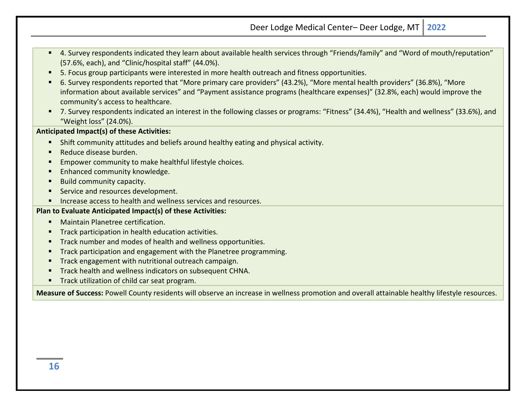- 4. Survey respondents indicated they learn about available health services through "Friends/family" and "Word of mouth/reputation" (57.6%, each), and "Clinic/hospital staff" (44.0%).
- 5. Focus group participants were interested in more health outreach and fitness opportunities.
- 6. Survey respondents reported that "More primary care providers" (43.2%), "More mental health providers" (36.8%), "More information about available services" and "Payment assistance programs (healthcare expenses)" (32.8%, each) would improve the community's access to healthcare.
- 7. Survey respondents indicated an interest in the following classes or programs: "Fitness" (34.4%), "Health and wellness" (33.6%), and "Weight loss" (24.0%).

## **Anticipated Impact(s) of these Activities:**

- Shift community attitudes and beliefs around healthy eating and physical activity.
- Reduce disease burden.
- **Empower community to make healthful lifestyle choices.**
- **Enhanced community knowledge.**
- **Build community capacity.**
- Service and resources development.
- **Increase access to health and wellness services and resources.**

#### **Plan to Evaluate Anticipated Impact(s) of these Activities:**

- **Maintain Planetree certification.**
- **Track participation in health education activities.**
- **Track number and modes of health and wellness opportunities.**
- **Track participation and engagement with the Planetree programming.**
- **Track engagement with nutritional outreach campaign.**
- **Track health and wellness indicators on subsequent CHNA.**
- **Track utilization of child car seat program.**

**Measure of Success:** Powell County residents will observe an increase in wellness promotion and overall attainable healthy lifestyle resources.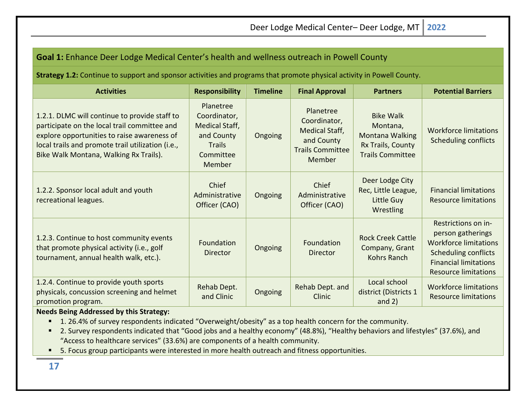| <b>Goal 1:</b> Enhance Deer Lodge Medical Center's health and wellness outreach in Powell County                                                                                                                                            |                                                                                                          |                 |                                                                                                              |                                                                                                        |                                                                                                                                                                        |
|---------------------------------------------------------------------------------------------------------------------------------------------------------------------------------------------------------------------------------------------|----------------------------------------------------------------------------------------------------------|-----------------|--------------------------------------------------------------------------------------------------------------|--------------------------------------------------------------------------------------------------------|------------------------------------------------------------------------------------------------------------------------------------------------------------------------|
| Strategy 1.2: Continue to support and sponsor activities and programs that promote physical activity in Powell County.                                                                                                                      |                                                                                                          |                 |                                                                                                              |                                                                                                        |                                                                                                                                                                        |
| <b>Activities</b>                                                                                                                                                                                                                           | <b>Responsibility</b>                                                                                    | <b>Timeline</b> | <b>Final Approval</b>                                                                                        | <b>Partners</b>                                                                                        | <b>Potential Barriers</b>                                                                                                                                              |
| 1.2.1. DLMC will continue to provide staff to<br>participate on the local trail committee and<br>explore opportunities to raise awareness of<br>local trails and promote trail utilization (i.e.,<br>Bike Walk Montana, Walking Rx Trails). | Planetree<br>Coordinator,<br><b>Medical Staff,</b><br>and County<br><b>Trails</b><br>Committee<br>Member | Ongoing         | Planetree<br>Coordinator,<br><b>Medical Staff,</b><br>and County<br><b>Trails Committee</b><br><b>Member</b> | <b>Bike Walk</b><br>Montana,<br><b>Montana Walking</b><br>Rx Trails, County<br><b>Trails Committee</b> | <b>Workforce limitations</b><br><b>Scheduling conflicts</b>                                                                                                            |
| 1.2.2. Sponsor local adult and youth<br>recreational leagues.                                                                                                                                                                               | Chief<br>Administrative<br>Officer (CAO)                                                                 | Ongoing         | Chief<br>Administrative<br>Officer (CAO)                                                                     | Deer Lodge City<br>Rec, Little League,<br>Little Guy<br>Wrestling                                      | <b>Financial limitations</b><br><b>Resource limitations</b>                                                                                                            |
| 1.2.3. Continue to host community events<br>that promote physical activity (i.e., golf<br>tournament, annual health walk, etc.).                                                                                                            | Foundation<br>Director                                                                                   | Ongoing         | Foundation<br>Director                                                                                       | <b>Rock Creek Cattle</b><br>Company, Grant<br>Kohrs Ranch                                              | Restrictions on in-<br>person gatherings<br><b>Workforce limitations</b><br><b>Scheduling conflicts</b><br><b>Financial limitations</b><br><b>Resource limitations</b> |
| 1.2.4. Continue to provide youth sports<br>physicals, concussion screening and helmet<br>promotion program.                                                                                                                                 | Rehab Dept.<br>and Clinic                                                                                | Ongoing         | Rehab Dept. and<br>Clinic                                                                                    | Local school<br>district (Districts 1<br>and $2)$                                                      | <b>Workforce limitations</b><br><b>Resource limitations</b>                                                                                                            |

**Needs Being Addressed by this Strategy:**

- 1.26.4% of survey respondents indicated "Overweight/obesity" as a top health concern for the community.
- 2. Survey respondents indicated that "Good jobs and a healthy economy" (48.8%), "Healthy behaviors and lifestyles" (37.6%), and "Access to healthcare services" (33.6%) are components of a health community.
- **5. Focus group participants were interested in more health outreach and fitness opportunities.**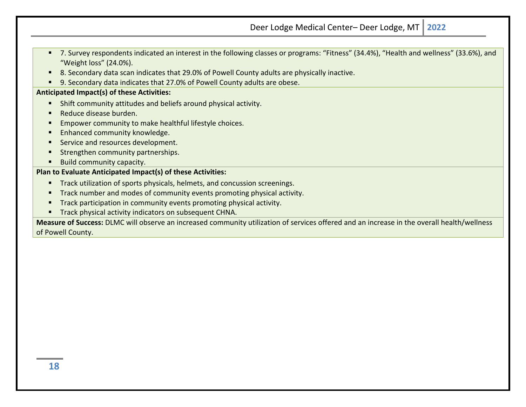| ■ 7. Survey respondents indicated an interest in the following classes or programs: "Fitness" (34.4%), "Health and wellness" (33.6%), and |
|-------------------------------------------------------------------------------------------------------------------------------------------|
| "Weight loss" (24.0%).                                                                                                                    |

- 8. Secondary data scan indicates that 29.0% of Powell County adults are physically inactive.
- 9. Secondary data indicates that 27.0% of Powell County adults are obese.

#### **Anticipated Impact(s) of these Activities:**

- Shift community attitudes and beliefs around physical activity.
- Reduce disease burden.
- **Empower community to make healthful lifestyle choices.**
- **Enhanced community knowledge.**
- Service and resources development.
- **Strengthen community partnerships.**
- Build community capacity.

## **Plan to Evaluate Anticipated Impact(s) of these Activities:**

- **Track utilization of sports physicals, helmets, and concussion screenings.**
- **Track number and modes of community events promoting physical activity.**
- Track participation in community events promoting physical activity.
- **Track physical activity indicators on subsequent CHNA.**

**Measure of Success:** DLMC will observe an increased community utilization of services offered and an increase in the overall health/wellness of Powell County.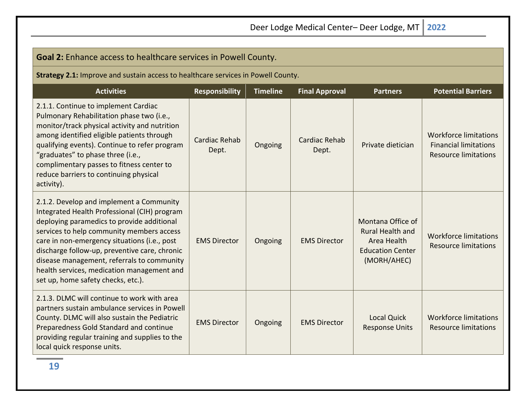Education Center (MORH/AHEC)

Response Units

Workforce limitations Resource limitations

| <b>Goal 2:</b> Enhance access to healthcare services in Powell County.                                                                                                                                                                                                                                                                                                      |                        |                 |                        |                                                             |                                                                                             |
|-----------------------------------------------------------------------------------------------------------------------------------------------------------------------------------------------------------------------------------------------------------------------------------------------------------------------------------------------------------------------------|------------------------|-----------------|------------------------|-------------------------------------------------------------|---------------------------------------------------------------------------------------------|
| <b>Strategy 2.1:</b> Improve and sustain access to healthcare services in Powell County.                                                                                                                                                                                                                                                                                    |                        |                 |                        |                                                             |                                                                                             |
| <b>Activities</b>                                                                                                                                                                                                                                                                                                                                                           | <b>Responsibility</b>  | <b>Timeline</b> | <b>Final Approval</b>  | <b>Partners</b>                                             | <b>Potential Barriers</b>                                                                   |
| 2.1.1. Continue to implement Cardiac<br>Pulmonary Rehabilitation phase two (i.e.,<br>monitor/track physical activity and nutrition<br>among identified eligible patients through<br>qualifying events). Continue to refer program<br>"graduates" to phase three (i.e.,<br>complimentary passes to fitness center to<br>reduce barriers to continuing physical<br>activity). | Cardiac Rehab<br>Dept. | Ongoing         | Cardiac Rehab<br>Dept. | Private dietician                                           | <b>Workforce limitations</b><br><b>Financial limitations</b><br><b>Resource limitations</b> |
| 2.1.2. Develop and implement a Community<br>Integrated Health Professional (CIH) program<br>deploying paramedics to provide additional<br>services to help community members access<br>care in non-emergency situations (i.e., post                                                                                                                                         | <b>EMS Director</b>    | Ongoing         | <b>EMS Director</b>    | Montana Office of<br><b>Rural Health and</b><br>Area Health | <b>Workforce limitations</b><br>Resource limitations                                        |

services to care in non discharge follow-up, preventive care, chronic disease management, referrals to community health services, medication management and set up, home safety checks, etc.). 2.1.3. DLMC will continue to work with area partners sustain ambulance services in Powell County. DLMC will also sustain the Pediatric Preparedness Gold Standard and continue EMS Director | Ongoing | EMS Director | Local Quick

local quick response units.

providing regular training and supplies to the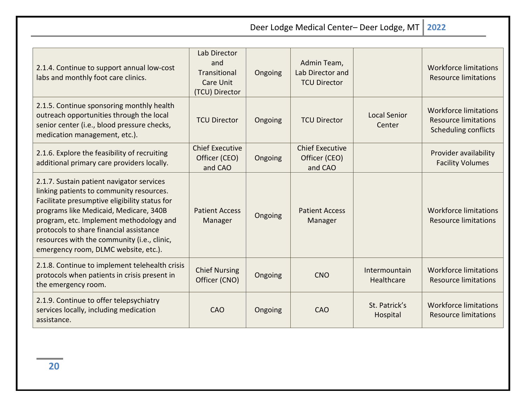$\mathbb T$ Deer Lodge Medical Center- Deer Lodge, M

|  | $\sim$ |  |
|--|--------|--|
|--|--------|--|

| 2.1.4. Continue to support annual low-cost<br>labs and monthly foot care clinics.                                                                                                                                                                                                                                                                             | Lab Director<br>and<br><b>Transitional</b><br>Care Unit<br>(TCU) Director | Ongoing | Admin Team,<br>Lab Director and<br><b>TCU Director</b> |                               | <b>Workforce limitations</b><br><b>Resource limitations</b>                                |
|---------------------------------------------------------------------------------------------------------------------------------------------------------------------------------------------------------------------------------------------------------------------------------------------------------------------------------------------------------------|---------------------------------------------------------------------------|---------|--------------------------------------------------------|-------------------------------|--------------------------------------------------------------------------------------------|
| 2.1.5. Continue sponsoring monthly health<br>outreach opportunities through the local<br>senior center (i.e., blood pressure checks,<br>medication management, etc.).                                                                                                                                                                                         | <b>TCU Director</b>                                                       | Ongoing | <b>TCU Director</b>                                    | <b>Local Senior</b><br>Center | <b>Workforce limitations</b><br><b>Resource limitations</b><br><b>Scheduling conflicts</b> |
| 2.1.6. Explore the feasibility of recruiting<br>additional primary care providers locally.                                                                                                                                                                                                                                                                    | <b>Chief Executive</b><br>Officer (CEO)<br>and CAO                        | Ongoing | <b>Chief Executive</b><br>Officer (CEO)<br>and CAO     |                               | Provider availability<br><b>Facility Volumes</b>                                           |
| 2.1.7. Sustain patient navigator services<br>linking patients to community resources.<br>Facilitate presumptive eligibility status for<br>programs like Medicaid, Medicare, 340B<br>program, etc. Implement methodology and<br>protocols to share financial assistance<br>resources with the community (i.e., clinic,<br>emergency room, DLMC website, etc.). | <b>Patient Access</b><br>Manager                                          | Ongoing | <b>Patient Access</b><br>Manager                       |                               | <b>Workforce limitations</b><br><b>Resource limitations</b>                                |
| 2.1.8. Continue to implement telehealth crisis<br>protocols when patients in crisis present in<br>the emergency room.                                                                                                                                                                                                                                         | <b>Chief Nursing</b><br>Officer (CNO)                                     | Ongoing | <b>CNO</b>                                             | Intermountain<br>Healthcare   | <b>Workforce limitations</b><br><b>Resource limitations</b>                                |
| 2.1.9. Continue to offer telepsychiatry<br>services locally, including medication<br>assistance.                                                                                                                                                                                                                                                              | <b>CAO</b>                                                                | Ongoing | <b>CAO</b>                                             | St. Patrick's<br>Hospital     | <b>Workforce limitations</b><br><b>Resource limitations</b>                                |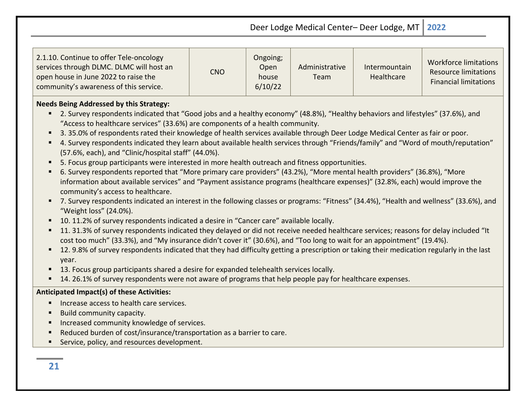| 2.1.10. Continue to offer Tele-oncology<br>services through DLMC. DLMC will host an<br>open house in June 2022 to raise the<br>community's awareness of this service. | CNO | Ongoing;<br>Open<br>house<br>6/10/22 | Administrative<br>Team | Intermountain<br>Healthcare | Workforce limitations<br><b>Resource limitations</b><br><b>Financial limitations</b> |
|-----------------------------------------------------------------------------------------------------------------------------------------------------------------------|-----|--------------------------------------|------------------------|-----------------------------|--------------------------------------------------------------------------------------|
|-----------------------------------------------------------------------------------------------------------------------------------------------------------------------|-----|--------------------------------------|------------------------|-----------------------------|--------------------------------------------------------------------------------------|

## **Needs Being Addressed by this Strategy:**

- 2. Survey respondents indicated that "Good jobs and a healthy economy" (48.8%), "Healthy behaviors and lifestyles" (37.6%), and "Access to healthcare services" (33.6%) are components of a health community.
- 3. 35.0% of respondents rated their knowledge of health services available through Deer Lodge Medical Center as fair or poor.
- 4. Survey respondents indicated they learn about available health services through "Friends/family" and "Word of mouth/reputation" (57.6%, each), and "Clinic/hospital staff" (44.0%).
- 5. Focus group participants were interested in more health outreach and fitness opportunities.
- 6. Survey respondents reported that "More primary care providers" (43.2%), "More mental health providers" (36.8%), "More information about available services" and "Payment assistance programs (healthcare expenses)" (32.8%, each) would improve the community's access to healthcare.
- 7. Survey respondents indicated an interest in the following classes or programs: "Fitness" (34.4%), "Health and wellness" (33.6%), and "Weight loss" (24.0%).
- 10. 11.2% of survey respondents indicated a desire in "Cancer care" available locally.
- 11. 31.3% of survey respondents indicated they delayed or did not receive needed healthcare services; reasons for delay included "It cost too much" (33.3%), and "My insurance didn't cover it" (30.6%), and "Too long to wait for an appointment" (19.4%).
- 12. 9.8% of survey respondents indicated that they had difficulty getting a prescription or taking their medication regularly in the last year.
- **13. Focus group participants shared a desire for expanded telehealth services locally.**
- 14. 26.1% of survey respondents were not aware of programs that help people pay for healthcare expenses.

## **Anticipated Impact(s) of these Activities:**

- **Increase access to health care services.**
- **Build community capacity.**
- **Increased community knowledge of services.**
- Reduced burden of cost/insurance/transportation as a barrier to care.
- Service, policy, and resources development.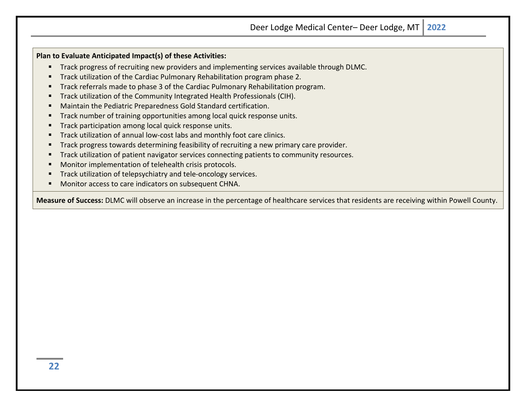**Plan to Evaluate Anticipated Impact(s) of these Activities:**

- **Track progress of recruiting new providers and implementing services available through DLMC.**
- Track utilization of the Cardiac Pulmonary Rehabilitation program phase 2.
- Track referrals made to phase 3 of the Cardiac Pulmonary Rehabilitation program.
- **Track utilization of the Community Integrated Health Professionals (CIH).**
- Maintain the Pediatric Preparedness Gold Standard certification.
- Track number of training opportunities among local quick response units.
- Track participation among local quick response units.
- Track utilization of annual low-cost labs and monthly foot care clinics.
- **Track progress towards determining feasibility of recruiting a new primary care provider.**
- Track utilization of patient navigator services connecting patients to community resources.
- Monitor implementation of telehealth crisis protocols.
- Track utilization of telepsychiatry and tele-oncology services.
- Monitor access to care indicators on subsequent CHNA.

**Measure of Success:** DLMC will observe an increase in the percentage of healthcare services that residents are receiving within Powell County.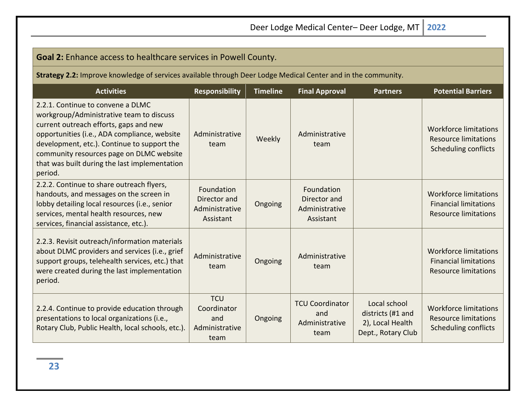| $\sim$ |  |
|--------|--|
|        |  |

Workforce limitations Resource limitations Scheduling conflicts

Workforce limitations Financial limitations Resource limitations

#### **Strategy 2.2:** Improve knowledge of services available through Deer Lodge Medical Center and in the community. **Activities Responsibility Timeline Final Approval Partners Potential Barriers**  2.2.1. Continue to convene a DLMC workgroup/Administrative team to discuss current outreach efforts, gaps and new opportunities (i.e., ADA compliance, website development, etc.). Continue to support the community resources page on DLMC website that was built during the last implementation period. Administrative  $\begin{array}{c|c} \hline \text{inistrative} & \text{Weekly} & \text{Administrative} \\ \text{team} & \text{team} & \text{team} \end{array}$ team 2.2.2. Continue to share outreach flyers, handouts, and messages on the screen in lobby detailing local resources (i.e., senior services, mental health resources, new services, financial assistance, etc.). Foundation Director and Administrative Assistant Ongoing Foundation Director and Administrative Assistant 2.2.3. Revisit outreach/information materials Administrative

**Goal 2:** Enhance access to healthcare services in Powell County.

| 2.2.9. We visit bati cacillinoi mation materials<br>about DLMC providers and services (i.e., grief<br>support groups, telehealth services, etc.) that<br>were created during the last implementation<br>period. | Administrative<br>team                                     | Ongoing | Administrative<br>team                                  |                                                                             | <b>Workforce limitations</b><br><b>Financial limitations</b><br><b>Resource limitations</b> |
|-----------------------------------------------------------------------------------------------------------------------------------------------------------------------------------------------------------------|------------------------------------------------------------|---------|---------------------------------------------------------|-----------------------------------------------------------------------------|---------------------------------------------------------------------------------------------|
| 2.2.4. Continue to provide education through<br>presentations to local organizations (i.e.,<br>Rotary Club, Public Health, local schools, etc.).                                                                | <b>TCU</b><br>Coordinator<br>and<br>Administrative<br>team | Ongoing | <b>TCU Coordinator</b><br>and<br>Administrative<br>team | Local school<br>districts (#1 and<br>2), Local Health<br>Dept., Rotary Club | <b>Workforce limitations</b><br><b>Resource limitations</b><br><b>Scheduling conflicts</b>  |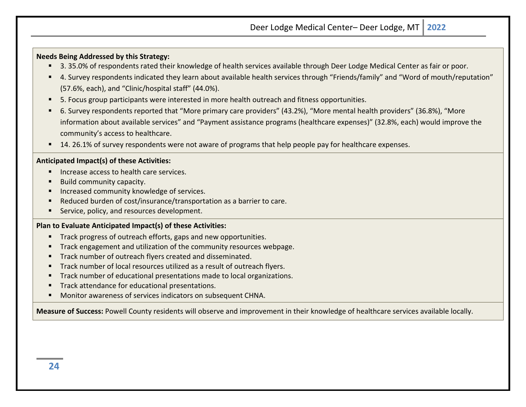#### **Needs Being Addressed by this Strategy:**

- 3. 35.0% of respondents rated their knowledge of health services available through Deer Lodge Medical Center as fair or poor.
- 4. Survey respondents indicated they learn about available health services through "Friends/family" and "Word of mouth/reputation" (57.6%, each), and "Clinic/hospital staff" (44.0%).
- 5. Focus group participants were interested in more health outreach and fitness opportunities.
- 6. Survey respondents reported that "More primary care providers" (43.2%), "More mental health providers" (36.8%), "More information about available services" and "Payment assistance programs (healthcare expenses)" (32.8%, each) would improve the community's access to healthcare.
- 14. 26.1% of survey respondents were not aware of programs that help people pay for healthcare expenses.

#### **Anticipated Impact(s) of these Activities:**

- **If** Increase access to health care services.
- Build community capacity.
- **Increased community knowledge of services.**
- Reduced burden of cost/insurance/transportation as a barrier to care.
- Service, policy, and resources development.

#### **Plan to Evaluate Anticipated Impact(s) of these Activities:**

- **Track progress of outreach efforts, gaps and new opportunities.**
- Track engagement and utilization of the community resources webpage.
- **Track number of outreach flyers created and disseminated.**
- **Track number of local resources utilized as a result of outreach flyers.**
- **Track number of educational presentations made to local organizations.**
- **Track attendance for educational presentations.**
- Monitor awareness of services indicators on subsequent CHNA.

**Measure of Success:** Powell County residents will observe and improvement in their knowledge of healthcare services available locally.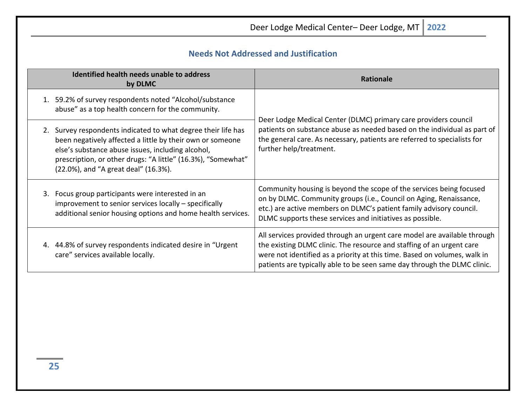<span id="page-24-0"></span>

| Deer Lodge Medical Center- Deer Lodge, MT<br>2022                                                                                                                                                                                                                                       |                                                                                                                                                                                                                                                                                                            |  |  |  |  |
|-----------------------------------------------------------------------------------------------------------------------------------------------------------------------------------------------------------------------------------------------------------------------------------------|------------------------------------------------------------------------------------------------------------------------------------------------------------------------------------------------------------------------------------------------------------------------------------------------------------|--|--|--|--|
| <b>Needs Not Addressed and Justification</b>                                                                                                                                                                                                                                            |                                                                                                                                                                                                                                                                                                            |  |  |  |  |
| Identified health needs unable to address<br>by DLMC                                                                                                                                                                                                                                    | <b>Rationale</b>                                                                                                                                                                                                                                                                                           |  |  |  |  |
| 1. 59.2% of survey respondents noted "Alcohol/substance<br>abuse" as a top health concern for the community.                                                                                                                                                                            |                                                                                                                                                                                                                                                                                                            |  |  |  |  |
| 2. Survey respondents indicated to what degree their life has<br>been negatively affected a little by their own or someone<br>else's substance abuse issues, including alcohol,<br>prescription, or other drugs: "A little" (16.3%), "Somewhat"<br>(22.0%), and "A great deal" (16.3%). | Deer Lodge Medical Center (DLMC) primary care providers council<br>patients on substance abuse as needed based on the individual as part of<br>the general care. As necessary, patients are referred to specialists for<br>further help/treatment.                                                         |  |  |  |  |
| 3. Focus group participants were interested in an<br>improvement to senior services locally - specifically<br>additional senior housing options and home health services.                                                                                                               | Community housing is beyond the scope of the services being focused<br>on by DLMC. Community groups (i.e., Council on Aging, Renaissance,<br>etc.) are active members on DLMC's patient family advisory council.<br>DLMC supports these services and initiatives as possible.                              |  |  |  |  |
| 4. 44.8% of survey respondents indicated desire in "Urgent<br>care" services available locally.                                                                                                                                                                                         | All services provided through an urgent care model are available through<br>the existing DLMC clinic. The resource and staffing of an urgent care<br>were not identified as a priority at this time. Based on volumes, walk in<br>patients are typically able to be seen same day through the DLMC clinic. |  |  |  |  |